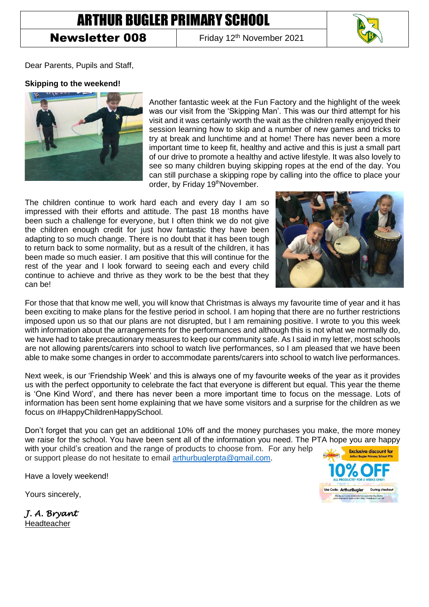# ARTHUR BUGLER PRIMARY SCHOOL

## **Newsletter 008** Friday 12<sup>th</sup> November 2021



Dear Parents, Pupils and Staff,

#### **Skipping to the weekend!**



Another fantastic week at the Fun Factory and the highlight of the week was our visit from the 'Skipping Man'. This was our third attempt for his visit and it was certainly worth the wait as the children really enjoyed their session learning how to skip and a number of new games and tricks to try at break and lunchtime and at home! There has never been a more important time to keep fit, healthy and active and this is just a small part of our drive to promote a healthy and active lifestyle. It was also lovely to see so many children buying skipping ropes at the end of the day. You can still purchase a skipping rope by calling into the office to place your order, by Friday 19<sup>th</sup>November.

The children continue to work hard each and every day I am so impressed with their efforts and attitude. The past 18 months have been such a challenge for everyone, but I often think we do not give the children enough credit for just how fantastic they have been adapting to so much change. There is no doubt that it has been tough to return back to some normality, but as a result of the children, it has been made so much easier. I am positive that this will continue for the rest of the year and I look forward to seeing each and every child continue to achieve and thrive as they work to be the best that they can be!



For those that that know me well, you will know that Christmas is always my favourite time of year and it has been exciting to make plans for the festive period in school. I am hoping that there are no further restrictions imposed upon us so that our plans are not disrupted, but I am remaining positive. I wrote to you this week with information about the arrangements for the performances and although this is not what we normally do, we have had to take precautionary measures to keep our community safe. As I said in my letter, most schools are not allowing parents/carers into school to watch live performances, so I am pleased that we have been able to make some changes in order to accommodate parents/carers into school to watch live performances.

Next week, is our 'Friendship Week' and this is always one of my favourite weeks of the year as it provides us with the perfect opportunity to celebrate the fact that everyone is different but equal. This year the theme is 'One Kind Word', and there has never been a more important time to focus on the message. Lots of information has been sent home explaining that we have some visitors and a surprise for the children as we focus on #HappyChildrenHappySchool.

Don't forget that you can get an additional 10% off and the money purchases you make, the more money we raise for the school. You have been sent all of the information you need. The PTA hope you are happy with your child's creation and the range of products to choose from. For any help **Exclusive discount for** or support please do not hesitate to email [arthurbuglerpta@gmail.com.](mailto:arthurbuglerpta@gmail.com) Arthur Bugler Primary School PTA

Have a lovely weekend!

Yours sincerely,



*J. A. Bryant*  Headteacher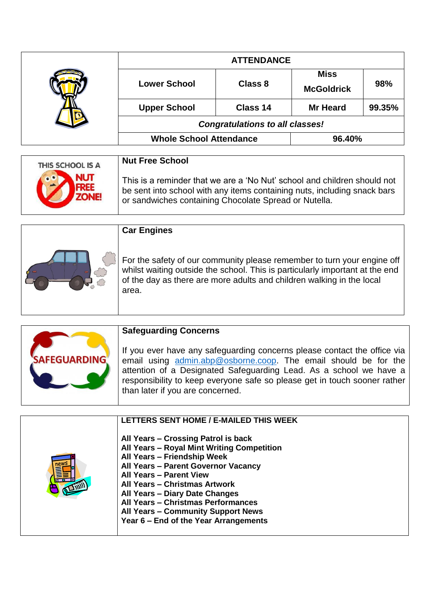|  | <b>ATTENDANCE</b>                      |          |                                  |        |
|--|----------------------------------------|----------|----------------------------------|--------|
|  | <b>Lower School</b>                    | Class 8  | <b>Miss</b><br><b>McGoldrick</b> | 98%    |
|  | <b>Upper School</b>                    | Class 14 | <b>Mr Heard</b>                  | 99.35% |
|  | <b>Congratulations to all classes!</b> |          |                                  |        |
|  | <b>Whole School Attendance</b>         |          | 96.40%                           |        |

| THIS SCHOOL IS A | <b>Nut Free School</b>                                                   |
|------------------|--------------------------------------------------------------------------|
| <b>NUT</b>       | This is a reminder that we are a 'No Nut' school and children should not |
| $\circ$          | be sent into school with any items containing nuts, including snack bars |
| <b>ZONE!</b>     | or sandwiches containing Chocolate Spread or Nutella.                    |

| <b>Car Engines</b>                                                                                                                                                                                                                        |
|-------------------------------------------------------------------------------------------------------------------------------------------------------------------------------------------------------------------------------------------|
| For the safety of our community please remember to turn your engine off<br>whilst waiting outside the school. This is particularly important at the end<br>of the day as there are more adults and children walking in the local<br>area. |



### **Safeguarding Concerns**

If you ever have any safeguarding concerns please contact the office via email using [admin.abp@osborne.coop.](mailto:admin.abp@osborne.coop) The email should be for the attention of a Designated Safeguarding Lead. As a school we have a responsibility to keep everyone safe so please get in touch sooner rather than later if you are concerned.

| LETTERS SENT HOME / E-MAILED THIS WEEK<br>All Years - Crossing Patrol is back<br>All Years - Royal Mint Writing Competition<br>All Years - Friendship Week<br>All Years - Parent Governor Vacancy<br><b>All Years - Parent View</b><br>All Years - Christmas Artwork<br>All Years - Diary Date Changes<br>All Years - Christmas Performances<br><b>All Years - Community Support News</b><br>Year 6 – End of the Year Arrangements |
|------------------------------------------------------------------------------------------------------------------------------------------------------------------------------------------------------------------------------------------------------------------------------------------------------------------------------------------------------------------------------------------------------------------------------------|
|                                                                                                                                                                                                                                                                                                                                                                                                                                    |